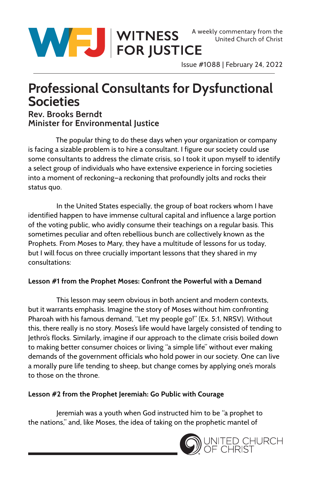

Issue #1088 | February 24, 2022

# **Professional Consultants for Dysfunctional Societies**

# **Rev. Brooks Berndt Minister for Environmental Justice**

 The popular thing to do these days when your organization or company is facing a sizable problem is to hire a consultant. I figure our society could use some consultants to address the climate crisis, so I took it upon myself to identify a select group of individuals who have extensive experience in forcing societies into a moment of reckoning—a reckoning that profoundly jolts and rocks their status quo.

In the United States especially, the group of boat rockers whom I have identified happen to have immense cultural capital and influence a large portion of the voting public, who avidly consume their teachings on a regular basis. This sometimes peculiar and often rebellious bunch are collectively known as the Prophets. From Moses to Mary, they have a multitude of lessons for us today, but I will focus on three crucially important lessons that they shared in my consultations:

## **Lesson #1 from the Prophet Moses: Confront the Powerful with a Demand**

This lesson may seem obvious in both ancient and modern contexts, but it warrants emphasis. Imagine the story of Moses without him confronting Pharoah with his famous demand, "Let my people go!" (Ex. 5:1, NRSV). Without this, there really is no story. Moses's life would have largely consisted of tending to Jethro's flocks. Similarly, imagine if our approach to the climate crisis boiled down to making better consumer choices or living "a simple life" without ever making demands of the government officials who hold power in our society. One can live a morally pure life tending to sheep, but change comes by applying one's morals to those on the throne.

## **Lesson #2 from the Prophet Jeremiah: Go Public with Courage**

Jeremiah was a youth when God instructed him to be "a prophet to the nations," and, like Moses, the idea of taking on the prophetic mantel of